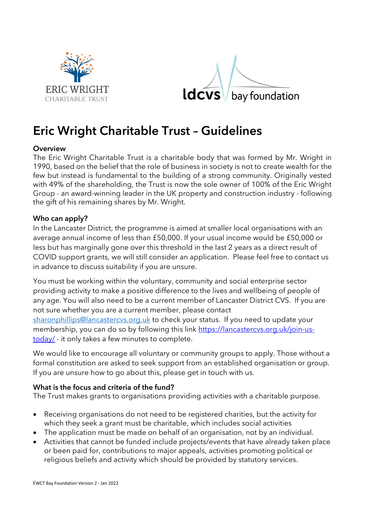



# Eric Wright Charitable Trust – Guidelines

### **Overview**

The Eric Wright Charitable Trust is a charitable body that was formed by Mr. Wright in 1990, based on the belief that the role of business in society is not to create wealth for the few but instead is fundamental to the building of a strong community. Originally vested with 49% of the shareholding, the Trust is now the sole owner of 100% of the Eric Wright Group - an award-winning leader in the UK property and construction industry - following the gift of his remaining shares by Mr. Wright.

### Who can apply?

In the Lancaster District, the programme is aimed at smaller local organisations with an average annual income of less than £50,000. If your usual income would be £50,000 or less but has marginally gone over this threshold in the last 2 years as a direct result of COVID support grants, we will still consider an application. Please feel free to contact us in advance to discuss suitability if you are unsure.

You must be working within the voluntary, community and social enterprise sector providing activity to make a positive difference to the lives and wellbeing of people of any age. You will also need to be a current member of Lancaster District CVS. If you are not sure whether you are a current member, please contact

sharonphillips@lancastercvs.org.uk to check your status. If you need to update your membership, you can do so by following this link https://lancastercvs.org.uk/join-ustoday/ - it only takes a few minutes to complete.

We would like to encourage all voluntary or community groups to apply. Those without a formal constitution are asked to seek support from an established organisation or group. If you are unsure how to go about this, please get in touch with us.

### What is the focus and criteria of the fund?

The Trust makes grants to organisations providing activities with a charitable purpose.

- Receiving organisations do not need to be registered charities, but the activity for which they seek a grant must be charitable, which includes social activities
- The application must be made on behalf of an organisation, not by an individual.
- Activities that cannot be funded include projects/events that have already taken place or been paid for, contributions to major appeals, activities promoting political or religious beliefs and activity which should be provided by statutory services.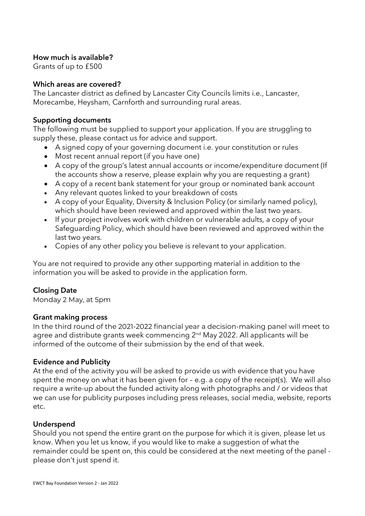# How much is available?

Grants of up to £500

## Which areas are covered?

The Lancaster district as defined by Lancaster City Councils limits i.e., Lancaster, Morecambe, Heysham, Carnforth and surrounding rural areas.

## Supporting documents

The following must be supplied to support your application. If you are struggling to supply these, please contact us for advice and support.

- A signed copy of your governing document i.e. your constitution or rules
- Most recent annual report (if you have one)
- A copy of the group's latest annual accounts or income/expenditure document (If the accounts show a reserve, please explain why you are requesting a grant)
- A copy of a recent bank statement for your group or nominated bank account
- Any relevant quotes linked to your breakdown of costs
- A copy of your Equality, Diversity & Inclusion Policy (or similarly named policy), which should have been reviewed and approved within the last two years.
- If your project involves work with children or vulnerable adults, a copy of your Safeguarding Policy, which should have been reviewed and approved within the last two years.
- Copies of any other policy you believe is relevant to your application.

You are not required to provide any other supporting material in addition to the information you will be asked to provide in the application form.

# Closing Date

Monday 2 May, at 5pm

# Grant making process

In the third round of the 2021-2022 financial year a decision-making panel will meet to In the third round of the 2021-2022 financial year a decision-making panel will meet to agree and distribute grants week commencing 2<sup>nd</sup> May 2022. All applicants will be informed of the outcome of their submission by the end of that week.

# Evidence and Publicity

At the end of the activity you will be asked to provide us with evidence that you have spent the money on what it has been given for – e.g. a copy of the receipt(s). We will also require a write-up about the funded activity along with photographs and / or videos that we can use for publicity purposes including press releases, social media, website, reports etc.

# **Underspend**

Should you not spend the entire grant on the purpose for which it is given, please let us know. When you let us know, if you would like to make a suggestion of what the remainder could be spent on, this could be considered at the next meeting of the panel please don't just spend it.